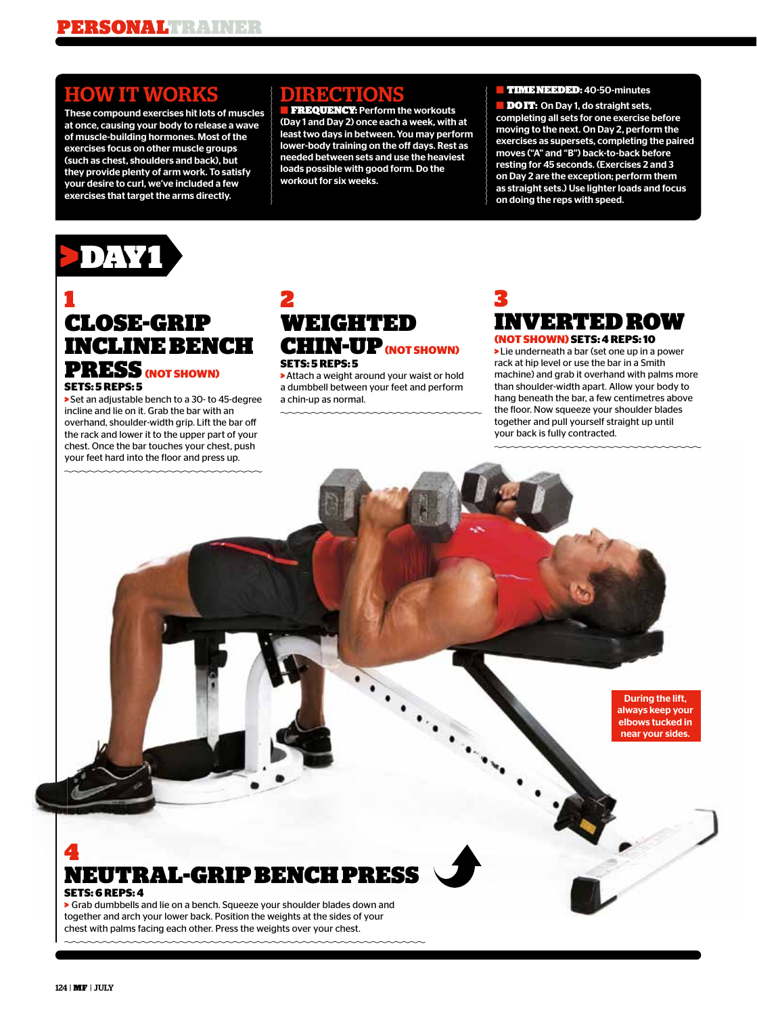## HOW IT WORKS

These compound exercises hit lots of muscles at once, causing your body to release a wave of muscle-building hormones. Most of the exercises focus on other muscle groups (such as chest, shoulders and back), but they provide plenty of arm work. To satisfy your desire to curl, we've included a few exercises that target the arms directly.

### DIRECTION

**FREQUENCY: Perform the workouts** (Day 1 and Day 2) once each a week, with at least two days in between. You may perform lower-body training on the off days. Rest as needed between sets and use the heaviest loads possible with good form. Do the workout for six weeks.

#### ■ TIME NEEDED: 40-50-minutes

**DOIT:** On Day 1, do straight sets, completing all sets for one exercise before moving to the next. On Day 2, perform the exercises as supersets, completing the paired moves ("A" and "B") back-to-back before resting for 45 seconds. (Exercises 2 and 3 on Day 2 are the exception; perform them as straight sets.) Use lighter loads and focus on doing the reps with speed.



### 1 CLOSE-GRIP INCLINE BENCH PRESS **(NOT SHOWN) SETS: 5 REPS: 5**

> Set an adjustable bench to a 30- to 45-degree incline and lie on it. Grab the bar with an overhand, shoulder-width grip. Lift the bar o the rack and lower it to the upper part of your chest. Once the bar touches your chest, push your feet hard into the floor and press up.

### 2 WEIGHTED CHIN-UP **(NOT SHOWN) SETS: 5 REPS: 5**

> Attach a weight around your waist or hold a dumbbell between your feet and perform a chin-up as normal.

### 3 INVERTED ROW **(NOT SHOWN) SETS: 4 REPS: 10**

> Lie underneath a bar (set one up in a power rack at hip level or use the bar in a Smith machine) and grab it overhand with palms more than shoulder-width apart. Allow your body to hang beneath the bar, a few centimetres above the floor. Now squeeze your shoulder blades together and pull yourself straight up until your back is fully contracted.

> During the lift, always keep your elbows tucked in near your sides.

4 NEUTRAL-GRIP BENCH PRESS **SETS: 6 REPS: 4**

> Grab dumbbells and lie on a bench. Squeeze your shoulder blades down and together and arch your lower back. Position the weights at the sides of your chest with palms facing each other. Press the weights over your chest.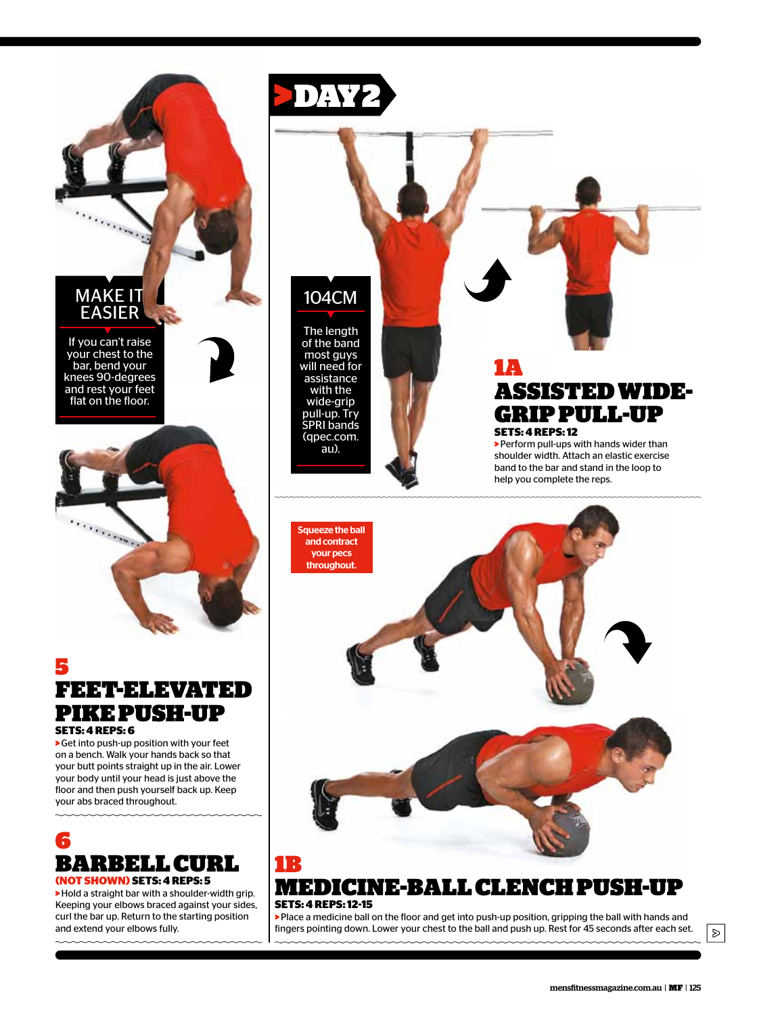

and only on

e de la provincia de la provincia de la provincia de la provincia de la provincia de la provincia de la provincia<br>La provincia de la provincia de la provincia de la provincia de la provincia de la provincia de la provincia

5 FEET-ELEVATED PIKE PUSH-UP **SETS: 4 REPS: 6**

> Get into push-up position with your feet on a bench. Walk your hands back so that your butt points straight up in the air. Lower your body until your head is just above the floor and then push yourself back up. Keep

your abs braced throughout.



**(NOT SHOWN) SETS: 4 REPS: 5** > Hold a straight bar with a shoulder-width grip.

Keeping your elbows braced against your sides, curl the bar up. Return to the starting position and extend your elbows fully.



# 104CM

The length of the band most guys will need for assistance with the wide-grip pull-up. Try SPRI bands (qpec.com. au).

### 1A ASSISTED WIDE-GRIP PULL-UP **SETS: 4 REPS: 12**

> Perform pull-ups with hands wider than shoulder width. Attach an elastic exercise band to the bar and stand in the loop to help you complete the reps.



### MEDICINE-BALL CLENCH PUSH-UP **SETS: 4 REPS: 12-15**

> Place a medicine ball on the floor and get into push-up position, gripping the ball with hands and fingers pointing down. Lower your chest to the ball and push up. Rest for 45 seconds after each set.